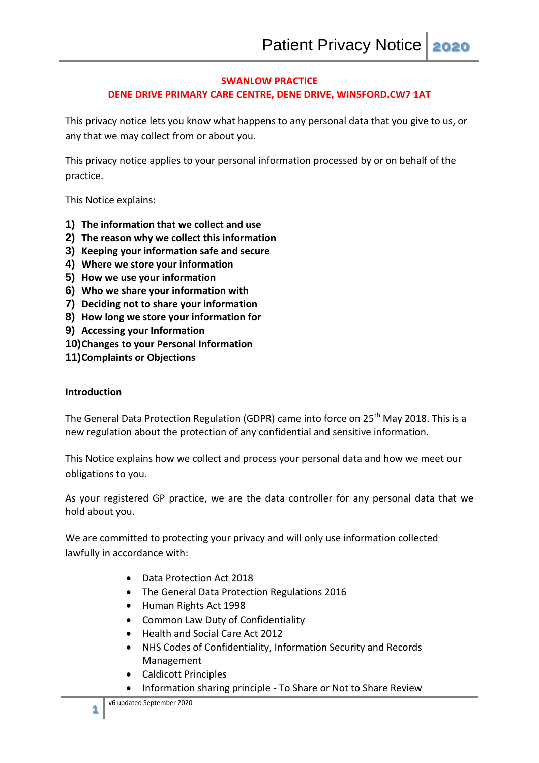### **SWANLOW PRACTICE DENE DRIVE PRIMARY CARE CENTRE, DENE DRIVE, WINSFORD.CW7 1AT**

This privacy notice lets you know what happens to any personal data that you give to us, or any that we may collect from or about you.

This privacy notice applies to your personal information processed by or on behalf of the practice.

This Notice explains:

- **1) The information that we collect and use**
- **2) The reason why we collect this information**
- **3) Keeping your information safe and secure**
- **4) Where we store your information**
- **5) How we use your information**
- **6) Who we share your information with**
- **7) Deciding not to share your information**
- **8) How long we store your information for**
- **9) Accessing your Information**
- **10)Changes to your Personal Information**
- **11)Complaints or Objections**

#### **Introduction**

The General Data Protection Regulation (GDPR) came into force on 25<sup>th</sup> May 2018. This is a new regulation about the protection of any confidential and sensitive information.

This Notice explains how we collect and process your personal data and how we meet our obligations to you.

As your registered GP practice, we are the data controller for any personal data that we hold about you.

We are committed to protecting your privacy and will only use information collected lawfully in accordance with:

- Data Protection Act 2018
- The General Data Protection Regulations 2016
- Human Rights Act 1998
- Common Law Duty of Confidentiality
- Health and Social Care Act 2012
- NHS Codes of Confidentiality, Information Security and Records Management
- Caldicott Principles
- Information sharing principle To Share or Not to Share Review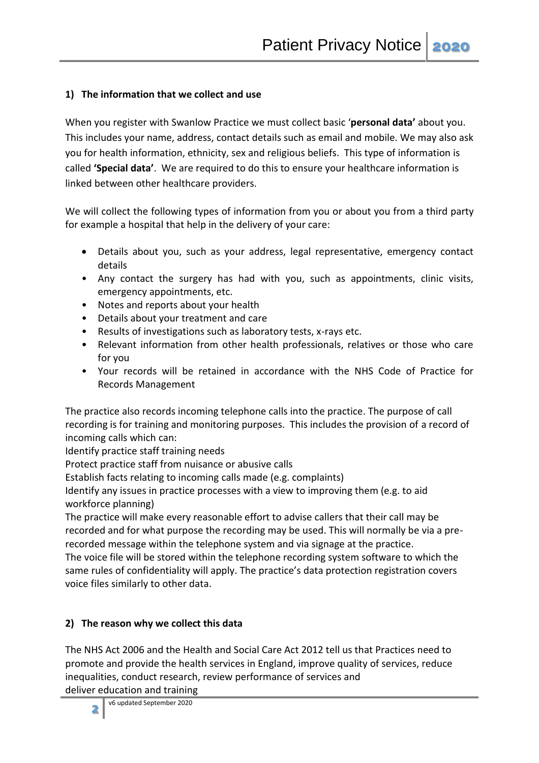## **1) The information that we collect and use**

When you register with Swanlow Practice we must collect basic '**personal data'** about you. This includes your name, address, contact details such as email and mobile. We may also ask you for health information, ethnicity, sex and religious beliefs. This type of information is called **'Special data'**. We are required to do this to ensure your healthcare information is linked between other healthcare providers.

We will collect the following types of information from you or about you from a third party for example a hospital that help in the delivery of your care:

- Details about you, such as your address, legal representative, emergency contact details
- Any contact the surgery has had with you, such as appointments, clinic visits, emergency appointments, etc.
- Notes and reports about your health
- Details about your treatment and care
- Results of investigations such as laboratory tests, x-rays etc.
- Relevant information from other health professionals, relatives or those who care for you
- Your records will be retained in accordance with the NHS Code of Practice for Records Management

The practice also records incoming telephone calls into the practice. The purpose of call recording is for training and monitoring purposes. This includes the provision of a record of incoming calls which can:

Identify practice staff training needs

Protect practice staff from nuisance or abusive calls

Establish facts relating to incoming calls made (e.g. complaints)

Identify any issues in practice processes with a view to improving them (e.g. to aid workforce planning)

The practice will make every reasonable effort to advise callers that their call may be recorded and for what purpose the recording may be used. This will normally be via a prerecorded message within the telephone system and via signage at the practice.

The voice file will be stored within the telephone recording system software to which the same rules of confidentiality will apply. The practice's data protection registration covers voice files similarly to other data.

# **2) The reason why we collect this data**

The NHS Act 2006 and the Health and Social Care Act 2012 tell us that Practices need to promote and provide the health services in England, improve quality of services, reduce inequalities, conduct research, review performance of services and

deliver education and training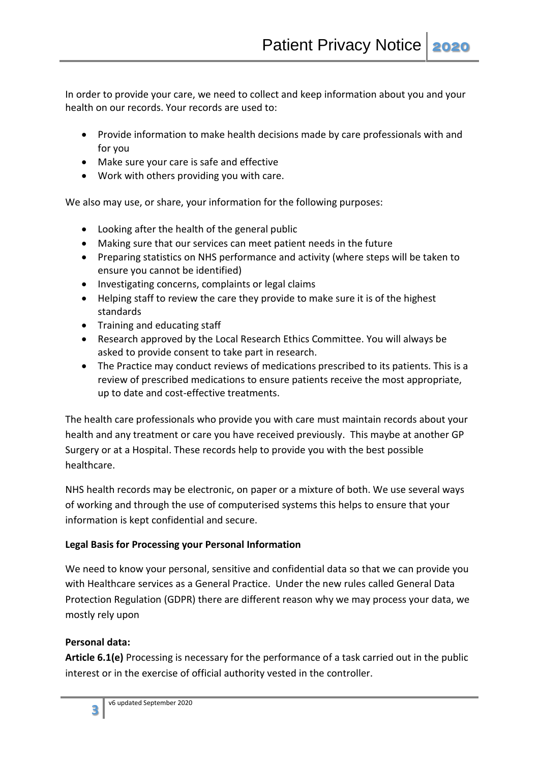In order to provide your care, we need to collect and keep information about you and your health on our records. Your records are used to:

- Provide information to make health decisions made by care professionals with and for you
- Make sure your care is safe and effective
- Work with others providing you with care.

We also may use, or share, your information for the following purposes:

- Looking after the health of the general public
- Making sure that our services can meet patient needs in the future
- Preparing statistics on NHS performance and activity (where steps will be taken to ensure you cannot be identified)
- Investigating concerns, complaints or legal claims
- Helping staff to review the care they provide to make sure it is of the highest standards
- Training and educating staff
- Research approved by the Local Research Ethics Committee. You will always be asked to provide consent to take part in research.
- The Practice may conduct reviews of medications prescribed to its patients. This is a review of prescribed medications to ensure patients receive the most appropriate, up to date and cost-effective treatments.

The health care professionals who provide you with care must maintain records about your health and any treatment or care you have received previously. This maybe at another GP Surgery or at a Hospital. These records help to provide you with the best possible healthcare.

NHS health records may be electronic, on paper or a mixture of both. We use several ways of working and through the use of computerised systems this helps to ensure that your information is kept confidential and secure.

# **Legal Basis for Processing your Personal Information**

We need to know your personal, sensitive and confidential data so that we can provide you with Healthcare services as a General Practice. Under the new rules called General Data Protection Regulation (GDPR) there are different reason why we may process your data, we mostly rely upon

# **Personal data:**

**Article 6.1(e)** Processing is necessary for the performance of a task carried out in the public interest or in the exercise of official authority vested in the controller.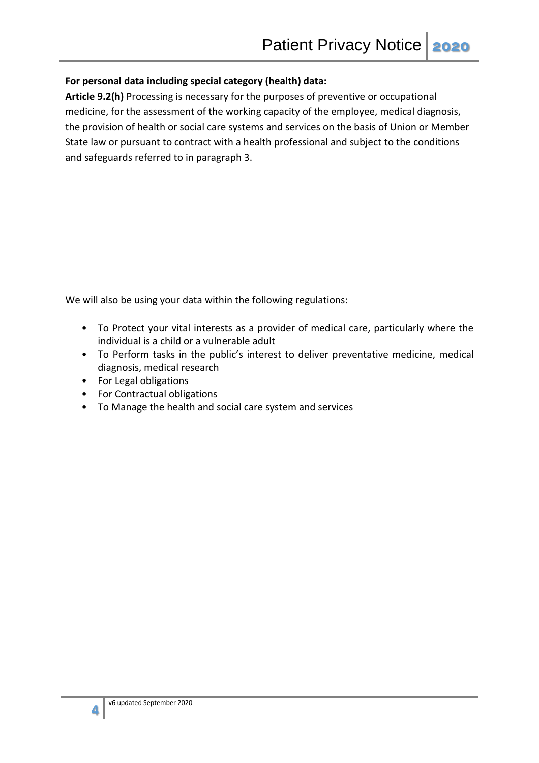### **For personal data including special category (health) data:**

**Article 9.2(h)** Processing is necessary for the purposes of preventive or occupational medicine, for the assessment of the working capacity of the employee, medical diagnosis, the provision of health or social care systems and services on the basis of Union or Member State law or pursuant to contract with a health professional and subject to the conditions and safeguards referred to in paragraph 3.

We will also be using your data within the following regulations:

- To Protect your vital interests as a provider of medical care, particularly where the individual is a child or a vulnerable adult
- To Perform tasks in the public's interest to deliver preventative medicine, medical diagnosis, medical research
- For Legal obligations
- For Contractual obligations
- To Manage the health and social care system and services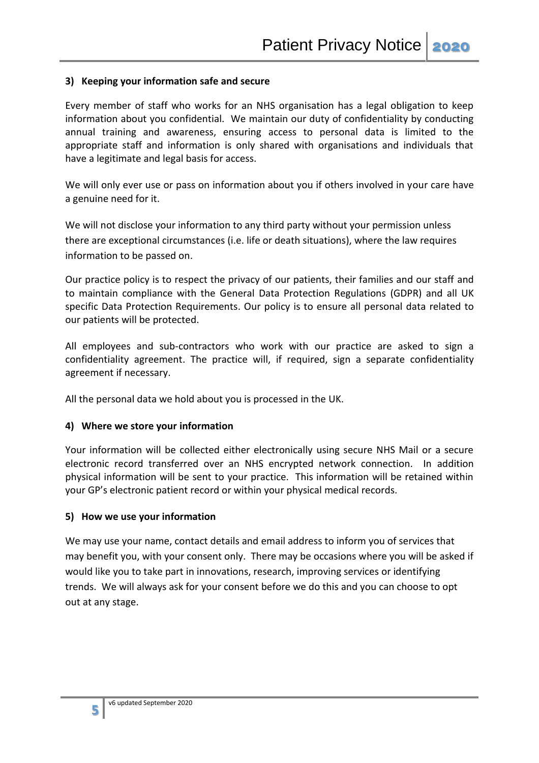#### **3) Keeping your information safe and secure**

Every member of staff who works for an NHS organisation has a legal obligation to keep information about you confidential. We maintain our duty of confidentiality by conducting annual training and awareness, ensuring access to personal data is limited to the appropriate staff and information is only shared with organisations and individuals that have a legitimate and legal basis for access.

We will only ever use or pass on information about you if others involved in your care have a genuine need for it.

We will not disclose your information to any third party without your permission unless there are exceptional circumstances (i.e. life or death situations), where the law requires information to be passed on.

Our practice policy is to respect the privacy of our patients, their families and our staff and to maintain compliance with the General Data Protection Regulations (GDPR) and all UK specific Data Protection Requirements. Our policy is to ensure all personal data related to our patients will be protected.

All employees and sub-contractors who work with our practice are asked to sign a confidentiality agreement. The practice will, if required, sign a separate confidentiality agreement if necessary.

All the personal data we hold about you is processed in the UK.

#### **4) Where we store your information**

Your information will be collected either electronically using secure NHS Mail or a secure electronic record transferred over an NHS encrypted network connection. In addition physical information will be sent to your practice. This information will be retained within your GP's electronic patient record or within your physical medical records.

#### **5) How we use your information**

We may use your name, contact details and email address to inform you of services that may benefit you, with your consent only. There may be occasions where you will be asked if would like you to take part in innovations, research, improving services or identifying trends. We will always ask for your consent before we do this and you can choose to opt out at any stage.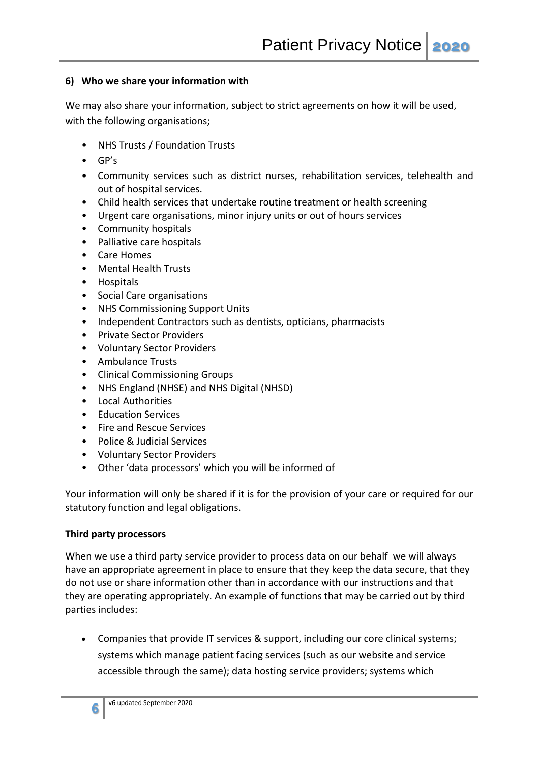### **6) Who we share your information with**

We may also share your information, subject to strict agreements on how it will be used, with the following organisations;

- NHS Trusts / Foundation Trusts
- GP's
- Community services such as district nurses, rehabilitation services, telehealth and out of hospital services.
- Child health services that undertake routine treatment or health screening
- Urgent care organisations, minor injury units or out of hours services
- Community hospitals
- Palliative care hospitals
- Care Homes
- Mental Health Trusts
- Hospitals
- Social Care organisations
- NHS Commissioning Support Units
- Independent Contractors such as dentists, opticians, pharmacists
- Private Sector Providers
- Voluntary Sector Providers
- Ambulance Trusts
- Clinical Commissioning Groups
- NHS England (NHSE) and NHS Digital (NHSD)
- Local Authorities
- Education Services
- Fire and Rescue Services
- Police & Judicial Services
- Voluntary Sector Providers
- Other 'data processors' which you will be informed of

Your information will only be shared if it is for the provision of your care or required for our statutory function and legal obligations.

#### **Third party processors**

When we use a third party service provider to process data on our behalf we will always have an appropriate agreement in place to ensure that they keep the data secure, that they do not use or share information other than in accordance with our instructions and that they are operating appropriately. An example of functions that may be carried out by third parties includes:

 Companies that provide IT services & support, including our core clinical systems; systems which manage patient facing services (such as our website and service accessible through the same); data hosting service providers; systems which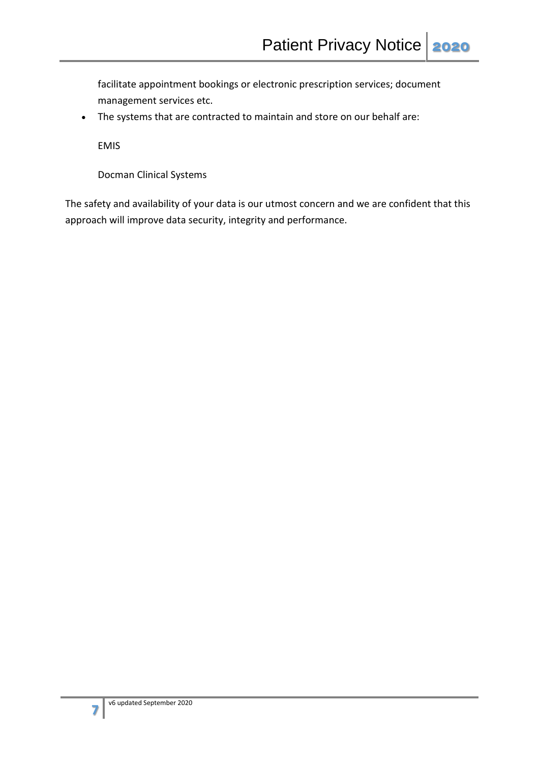facilitate appointment bookings or electronic prescription services; document management services etc.

The systems that are contracted to maintain and store on our behalf are:

EMIS

Docman Clinical Systems

The safety and availability of your data is our utmost concern and we are confident that this approach will improve data security, integrity and performance.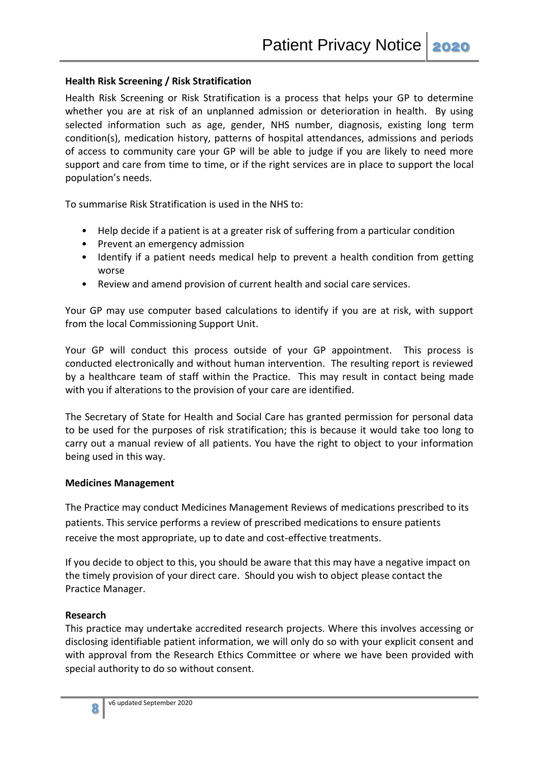### **Health Risk Screening / Risk Stratification**

Health Risk Screening or Risk Stratification is a process that helps your GP to determine whether you are at risk of an unplanned admission or deterioration in health. By using selected information such as age, gender, NHS number, diagnosis, existing long term condition(s), medication history, patterns of hospital attendances, admissions and periods of access to community care your GP will be able to judge if you are likely to need more support and care from time to time, or if the right services are in place to support the local population's needs.

To summarise Risk Stratification is used in the NHS to:

- Help decide if a patient is at a greater risk of suffering from a particular condition
- Prevent an emergency admission
- Identify if a patient needs medical help to prevent a health condition from getting worse
- Review and amend provision of current health and social care services.

Your GP may use computer based calculations to identify if you are at risk, with support from the local Commissioning Support Unit.

Your GP will conduct this process outside of your GP appointment. This process is conducted electronically and without human intervention. The resulting report is reviewed by a healthcare team of staff within the Practice. This may result in contact being made with you if alterations to the provision of your care are identified.

The Secretary of State for Health and Social Care has granted permission for personal data to be used for the purposes of risk stratification; this is because it would take too long to carry out a manual review of all patients. You have the right to object to your information being used in this way.

#### **Medicines Management**

The Practice may conduct Medicines Management Reviews of medications prescribed to its patients. This service performs a review of prescribed medications to ensure patients receive the most appropriate, up to date and cost-effective treatments.

If you decide to object to this, you should be aware that this may have a negative impact on the timely provision of your direct care. Should you wish to object please contact the Practice Manager.

## **Research**

This practice may undertake accredited research projects. Where this involves accessing or disclosing identifiable patient information, we will only do so with your explicit consent and with approval from the Research Ethics Committee or where we have been provided with special authority to do so without consent.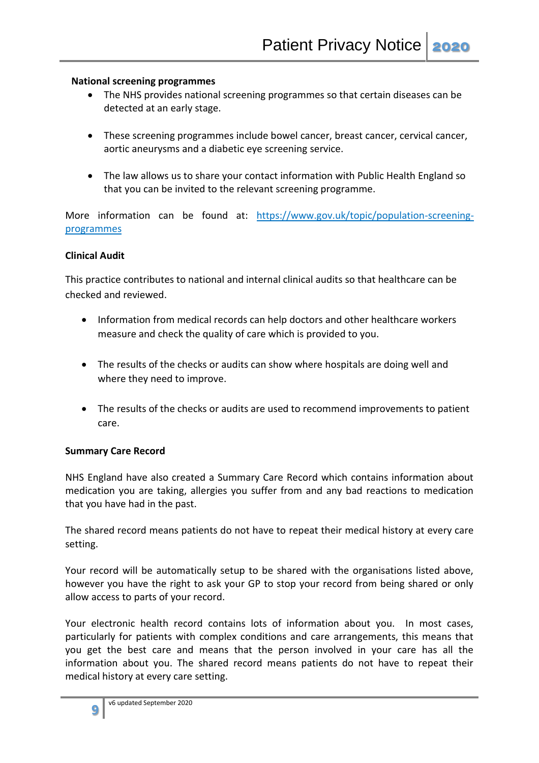### **National screening programmes**

- The NHS provides national screening programmes so that certain diseases can be detected at an early stage.
- These screening programmes include bowel cancer, breast cancer, cervical cancer, aortic aneurysms and a diabetic eye screening service.
- The law allows us to share your contact information with Public Health England so that you can be invited to the relevant screening programme.

More information can be found at: [https://www.gov.uk/topic/population-screening](https://www.gov.uk/topic/population-screening-programmes)[programmes](https://www.gov.uk/topic/population-screening-programmes)

### **Clinical Audit**

This practice contributes to national and internal clinical audits so that healthcare can be checked and reviewed.

- Information from medical records can help doctors and other healthcare workers measure and check the quality of care which is provided to you.
- The results of the checks or audits can show where hospitals are doing well and where they need to improve.
- The results of the checks or audits are used to recommend improvements to patient care.

## **Summary Care Record**

NHS England have also created a Summary Care Record which contains information about medication you are taking, allergies you suffer from and any bad reactions to medication that you have had in the past.

The shared record means patients do not have to repeat their medical history at every care setting.

Your record will be automatically setup to be shared with the organisations listed above, however you have the right to ask your GP to stop your record from being shared or only allow access to parts of your record.

Your electronic health record contains lots of information about you. In most cases, particularly for patients with complex conditions and care arrangements, this means that you get the best care and means that the person involved in your care has all the information about you. The shared record means patients do not have to repeat their medical history at every care setting.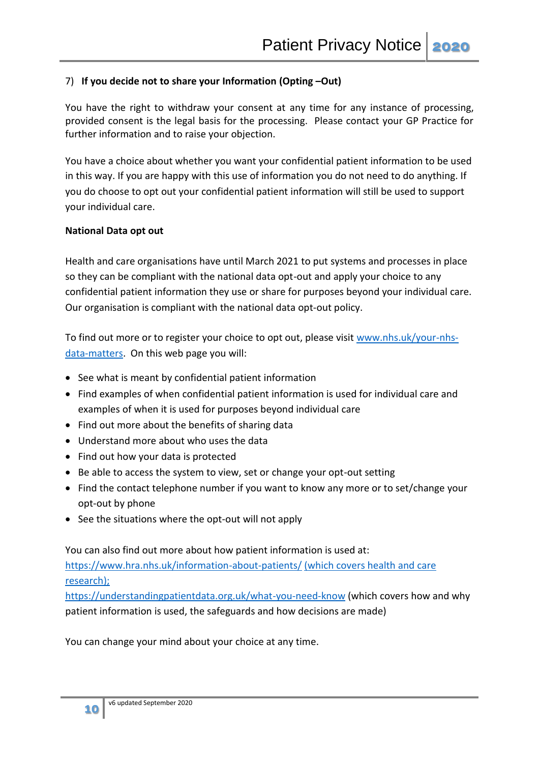## 7) **If you decide not to share your Information (Opting –Out)**

You have the right to withdraw your consent at any time for any instance of processing, provided consent is the legal basis for the processing. Please contact your GP Practice for further information and to raise your objection.

You have a choice about whether you want your confidential patient information to be used in this way. If you are happy with this use of information you do not need to do anything. If you do choose to opt out your confidential patient information will still be used to support your individual care.

## **National Data opt out**

Health and care organisations have until March 2021 to put systems and processes in place so they can be compliant with the national data opt-out and apply your choice to any confidential patient information they use or share for purposes beyond your individual care. Our organisation is compliant with the national data opt-out policy.

To find out more or to register your choice to opt out, please visit [www.nhs.uk/your-nhs](http://www.nhs.uk/your-nhs-data-matters)[data-matters.](http://www.nhs.uk/your-nhs-data-matters) On this web page you will:

- See what is meant by confidential patient information
- Find examples of when confidential patient information is used for individual care and examples of when it is used for purposes beyond individual care
- Find out more about the benefits of sharing data
- Understand more about who uses the data
- Find out how your data is protected
- Be able to access the system to view, set or change your opt-out setting
- Find the contact telephone number if you want to know any more or to set/change your opt-out by phone
- See the situations where the opt-out will not apply

You can also find out more about how patient information is used at:

<https://www.hra.nhs.uk/information-about-patients/> (which covers health and care research);

<https://understandingpatientdata.org.uk/what-you-need-know> (which covers how and why patient information is used, the safeguards and how decisions are made)

You can change your mind about your choice at any time.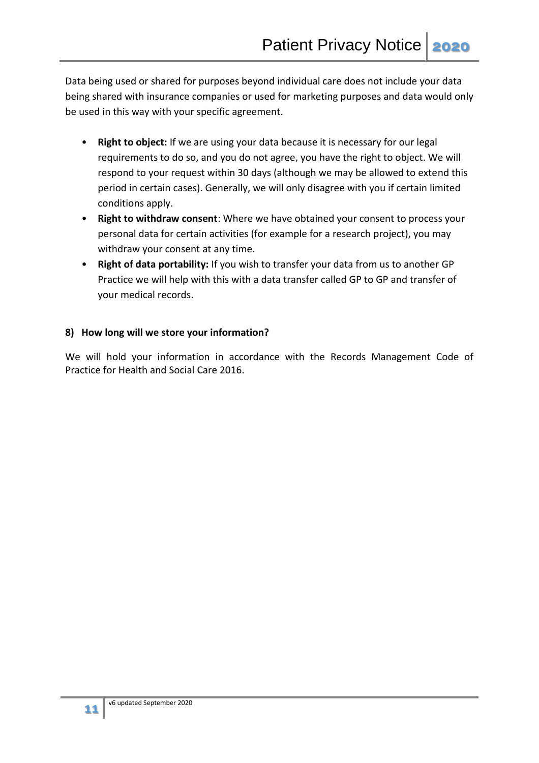Data being used or shared for purposes beyond individual care does not include your data being shared with insurance companies or used for marketing purposes and data would only be used in this way with your specific agreement.

- **Right to object:** If we are using your data because it is necessary for our legal requirements to do so, and you do not agree, you have the right to object. We will respond to your request within 30 days (although we may be allowed to extend this period in certain cases). Generally, we will only disagree with you if certain limited conditions apply.
- **Right to withdraw consent**: Where we have obtained your consent to process your personal data for certain activities (for example for a research project), you may withdraw your consent at any time.
- **Right of data portability:** If you wish to transfer your data from us to another GP Practice we will help with this with a data transfer called GP to GP and transfer of your medical records.

## **8) How long will we store your information?**

We will hold your information in accordance with the Records Management Code of Practice for Health and Social Care 2016.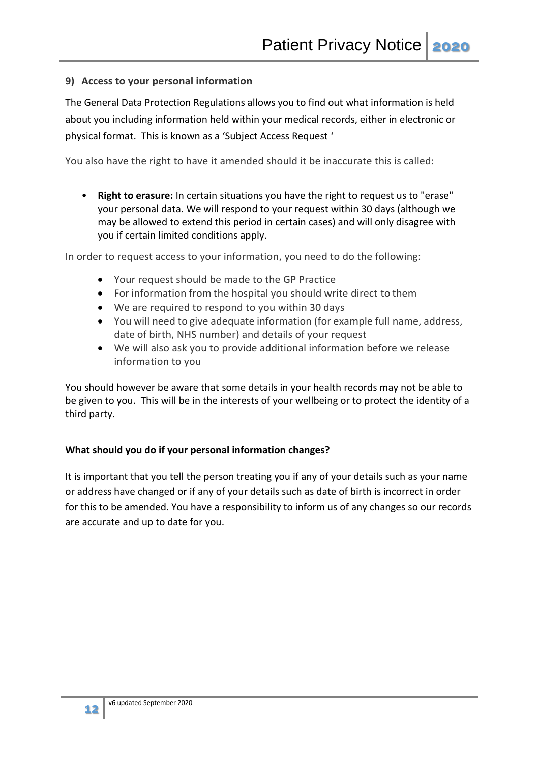## **9) Access to your personal information**

The General Data Protection Regulations allows you to find out what information is held about you including information held within your medical records, either in electronic or physical format. This is known as a 'Subject Access Request '

You also have the right to have it amended should it be inaccurate this is called:

• **Right to erasure:** In certain situations you have the right to request us to "erase" your personal data. We will respond to your request within 30 days (although we may be allowed to extend this period in certain cases) and will only disagree with you if certain limited conditions apply.

In order to request access to your information, you need to do the following:

- Your request should be made to the GP Practice
- For information from the hospital you should write direct to them
- We are required to respond to you within 30 days
- You will need to give adequate information (for example full name, address, date of birth, NHS number) and details of your request
- We will also ask you to provide additional information before we release information to you

You should however be aware that some details in your health records may not be able to be given to you. This will be in the interests of your wellbeing or to protect the identity of a third party.

## **What should you do if your personal information changes?**

It is important that you tell the person treating you if any of your details such as your name or address have changed or if any of your details such as date of birth is incorrect in order for this to be amended. You have a responsibility to inform us of any changes so our records are accurate and up to date for you.